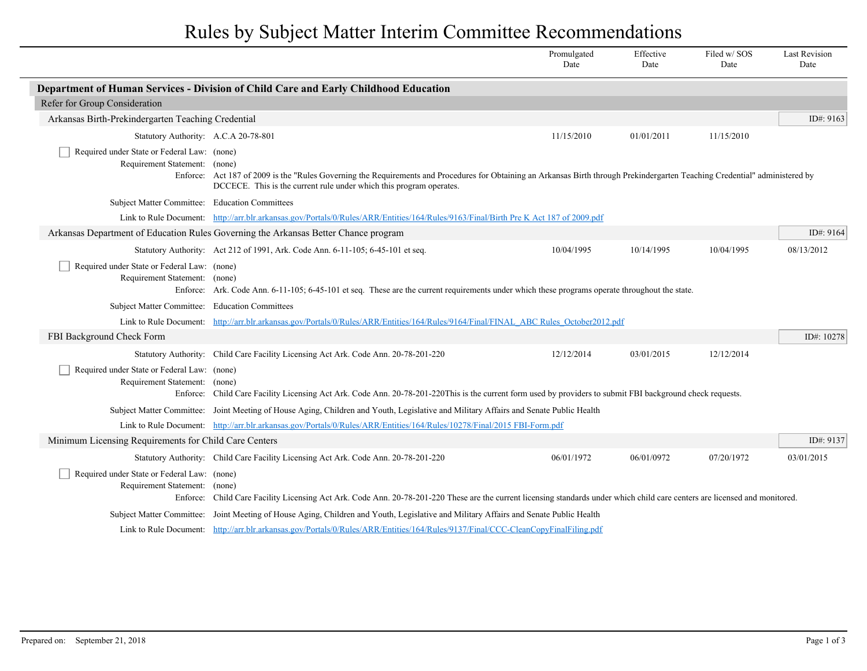## Rules by Subject Matter Interim Committee Recommendations

|                                                                              |                                                                                                                                                                                                                                                      | Promulgated<br>Date | Effective<br>Date | Filed w/SOS<br>Date | <b>Last Revision</b><br>Date |
|------------------------------------------------------------------------------|------------------------------------------------------------------------------------------------------------------------------------------------------------------------------------------------------------------------------------------------------|---------------------|-------------------|---------------------|------------------------------|
|                                                                              | Department of Human Services - Division of Child Care and Early Childhood Education                                                                                                                                                                  |                     |                   |                     |                              |
| Refer for Group Consideration                                                |                                                                                                                                                                                                                                                      |                     |                   |                     |                              |
| Arkansas Birth-Prekindergarten Teaching Credential                           |                                                                                                                                                                                                                                                      |                     |                   |                     | ID#: 9163                    |
| Statutory Authority: A.C.A 20-78-801                                         |                                                                                                                                                                                                                                                      | 11/15/2010          | 01/01/2011        | 11/15/2010          |                              |
| Required under State or Federal Law: (none)<br>Requirement Statement: (none) | Enforce: Act 187 of 2009 is the "Rules Governing the Requirements and Procedures for Obtaining an Arkansas Birth through Prekindergarten Teaching Credential" administered by<br>DCCECE. This is the current rule under which this program operates. |                     |                   |                     |                              |
| Subject Matter Committee: Education Committees                               |                                                                                                                                                                                                                                                      |                     |                   |                     |                              |
|                                                                              | Link to Rule Document: http://arr.blr.arkansas.gov/Portals/0/Rules/ARR/Entities/164/Rules/9163/Final/Birth Pre K Act 187 of 2009.pdf                                                                                                                 |                     |                   |                     |                              |
|                                                                              | Arkansas Department of Education Rules Governing the Arkansas Better Chance program                                                                                                                                                                  |                     |                   |                     |                              |
|                                                                              | Statutory Authority: Act 212 of 1991, Ark. Code Ann. 6-11-105; 6-45-101 et seq.                                                                                                                                                                      | 10/04/1995          | 10/14/1995        | 10/04/1995          | 08/13/2012                   |
| Required under State or Federal Law: (none)<br>Requirement Statement: (none) | Enforce: Ark. Code Ann. 6-11-105; 6-45-101 et seq. These are the current requirements under which these programs operate throughout the state.                                                                                                       |                     |                   |                     |                              |
| Subject Matter Committee: Education Committees                               |                                                                                                                                                                                                                                                      |                     |                   |                     |                              |
|                                                                              | Link to Rule Document: http://arr.blr.arkansas.gov/Portals/0/Rules/ARR/Entities/164/Rules/9164/Final/FINAL ABC Rules October2012.pdf                                                                                                                 |                     |                   |                     |                              |
| FBI Background Check Form                                                    |                                                                                                                                                                                                                                                      |                     |                   |                     | ID#: 10278                   |
|                                                                              | Statutory Authority: Child Care Facility Licensing Act Ark. Code Ann. 20-78-201-220                                                                                                                                                                  | 12/12/2014          | 03/01/2015        | 12/12/2014          |                              |
| Required under State or Federal Law: (none)<br>Requirement Statement: (none) | Enforce: Child Care Facility Licensing Act Ark. Code Ann. 20-78-201-220This is the current form used by providers to submit FBI background check requests.                                                                                           |                     |                   |                     |                              |
|                                                                              | Subject Matter Committee: Joint Meeting of House Aging, Children and Youth, Legislative and Military Affairs and Senate Public Health                                                                                                                |                     |                   |                     |                              |
|                                                                              | Link to Rule Document: http://arr.blr.arkansas.gov/Portals/0/Rules/ARR/Entities/164/Rules/10278/Final/2015 FBI-Form.pdf                                                                                                                              |                     |                   |                     |                              |
| Minimum Licensing Requirements for Child Care Centers                        |                                                                                                                                                                                                                                                      |                     |                   |                     | ID#: 9137                    |
|                                                                              | Statutory Authority: Child Care Facility Licensing Act Ark. Code Ann. 20-78-201-220                                                                                                                                                                  | 06/01/1972          | 06/01/0972        | 07/20/1972          | 03/01/2015                   |
| Required under State or Federal Law: (none)<br>Requirement Statement: (none) | Enforce: Child Care Facility Licensing Act Ark. Code Ann. 20-78-201-220 These are the current licensing standards under which child care centers are licensed and monitored.                                                                         |                     |                   |                     |                              |
|                                                                              | Subject Matter Committee: Joint Meeting of House Aging, Children and Youth, Legislative and Military Affairs and Senate Public Health                                                                                                                |                     |                   |                     |                              |
|                                                                              | Link to Rule Document: http://arr.blr.arkansas.gov/Portals/0/Rules/ARR/Entities/164/Rules/9137/Final/CCC-CleanCopyFinalFiling.pdf                                                                                                                    |                     |                   |                     |                              |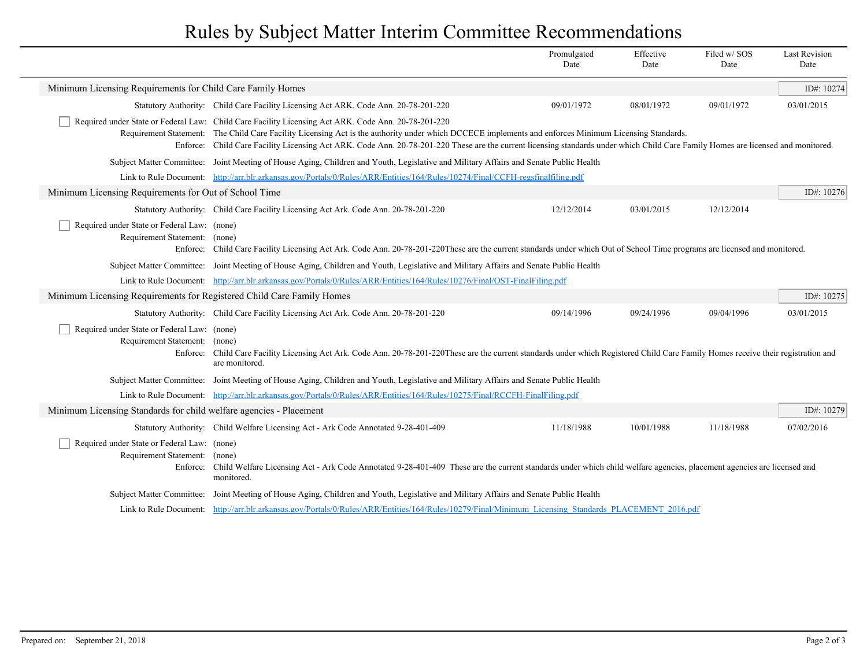## Rules by Subject Matter Interim Committee Recommendations

|                                                                                   |                                                                                                                                                                                                                                                                                                                                                                                                                                                   | Promulgated<br>Date | Effective<br>Date | Filed w/SOS<br>Date | <b>Last Revision</b><br>Date |  |
|-----------------------------------------------------------------------------------|---------------------------------------------------------------------------------------------------------------------------------------------------------------------------------------------------------------------------------------------------------------------------------------------------------------------------------------------------------------------------------------------------------------------------------------------------|---------------------|-------------------|---------------------|------------------------------|--|
| Minimum Licensing Requirements for Child Care Family Homes                        |                                                                                                                                                                                                                                                                                                                                                                                                                                                   |                     |                   |                     | ID#: 10274                   |  |
|                                                                                   | Statutory Authority: Child Care Facility Licensing Act ARK. Code Ann. 20-78-201-220                                                                                                                                                                                                                                                                                                                                                               | 09/01/1972          | 08/01/1972        | 09/01/1972          | 03/01/2015                   |  |
|                                                                                   | Required under State or Federal Law: Child Care Facility Licensing Act ARK. Code Ann. 20-78-201-220<br>Requirement Statement: The Child Care Facility Licensing Act is the authority under which DCCECE implements and enforces Minimum Licensing Standards.<br>Enforce: Child Care Facility Licensing Act ARK. Code Ann. 20-78-201-220 These are the current licensing standards under which Child Care Family Homes are licensed and monitored. |                     |                   |                     |                              |  |
|                                                                                   | Subject Matter Committee: Joint Meeting of House Aging, Children and Youth, Legislative and Military Affairs and Senate Public Health                                                                                                                                                                                                                                                                                                             |                     |                   |                     |                              |  |
|                                                                                   | Link to Rule Document: http://arr.blr.arkansas.gov/Portals/0/Rules/ARR/Entities/164/Rules/10274/Final/CCFH-regsfinalfiling.pdf                                                                                                                                                                                                                                                                                                                    |                     |                   |                     |                              |  |
| Minimum Licensing Requirements for Out of School Time                             |                                                                                                                                                                                                                                                                                                                                                                                                                                                   |                     |                   |                     | ID#: 10276                   |  |
|                                                                                   | Statutory Authority: Child Care Facility Licensing Act Ark. Code Ann. 20-78-201-220                                                                                                                                                                                                                                                                                                                                                               | 12/12/2014          | 03/01/2015        | 12/12/2014          |                              |  |
| Required under State or Federal Law: (none)<br>Requirement Statement: (none)      | Enforce: Child Care Facility Licensing Act Ark. Code Ann. 20-78-201-220These are the current standards under which Out of School Time programs are licensed and monitored.                                                                                                                                                                                                                                                                        |                     |                   |                     |                              |  |
|                                                                                   | Subject Matter Committee: Joint Meeting of House Aging, Children and Youth, Legislative and Military Affairs and Senate Public Health                                                                                                                                                                                                                                                                                                             |                     |                   |                     |                              |  |
|                                                                                   | Link to Rule Document: http://arr.blr.arkansas.gov/Portals/0/Rules/ARR/Entities/164/Rules/10276/Final/OST-FinalFiling.pdf                                                                                                                                                                                                                                                                                                                         |                     |                   |                     |                              |  |
| Minimum Licensing Requirements for Registered Child Care Family Homes             |                                                                                                                                                                                                                                                                                                                                                                                                                                                   |                     |                   |                     | ID#: 10275                   |  |
|                                                                                   | Statutory Authority: Child Care Facility Licensing Act Ark. Code Ann. 20-78-201-220                                                                                                                                                                                                                                                                                                                                                               | 09/14/1996          | 09/24/1996        | 09/04/1996          | 03/01/2015                   |  |
| Required under State or Federal Law: (none)<br>Requirement Statement:<br>Enforce: | (none)<br>Child Care Facility Licensing Act Ark. Code Ann. 20-78-201-220These are the current standards under which Registered Child Care Family Homes receive their registration and<br>are monitored.                                                                                                                                                                                                                                           |                     |                   |                     |                              |  |
|                                                                                   | Subject Matter Committee: Joint Meeting of House Aging, Children and Youth, Legislative and Military Affairs and Senate Public Health                                                                                                                                                                                                                                                                                                             |                     |                   |                     |                              |  |
|                                                                                   | Link to Rule Document: http://arr.blr.arkansas.gov/Portals/0/Rules/ARR/Entities/164/Rules/10275/Final/RCCFH-FinalFiling.pdf                                                                                                                                                                                                                                                                                                                       |                     |                   |                     |                              |  |
| Minimum Licensing Standards for child welfare agencies - Placement                |                                                                                                                                                                                                                                                                                                                                                                                                                                                   |                     |                   |                     | ID#: 10279                   |  |
|                                                                                   | Statutory Authority: Child Welfare Licensing Act - Ark Code Annotated 9-28-401-409                                                                                                                                                                                                                                                                                                                                                                | 11/18/1988          | 10/01/1988        | 11/18/1988          | 07/02/2016                   |  |
| Required under State or Federal Law: (none)<br>Requirement Statement:             | (none)<br>Enforce: Child Welfare Licensing Act - Ark Code Annotated 9-28-401-409 These are the current standards under which child welfare agencies, placement agencies are licensed and<br>monitored.                                                                                                                                                                                                                                            |                     |                   |                     |                              |  |
|                                                                                   | Subject Matter Committee: Joint Meeting of House Aging, Children and Youth, Legislative and Military Affairs and Senate Public Health                                                                                                                                                                                                                                                                                                             |                     |                   |                     |                              |  |
|                                                                                   | Link to Rule Document: http://arr.blr.arkansas.gov/Portals/0/Rules/ARR/Entities/164/Rules/10279/Final/Minimum Licensing Standards PLACEMENT 2016.pdf                                                                                                                                                                                                                                                                                              |                     |                   |                     |                              |  |